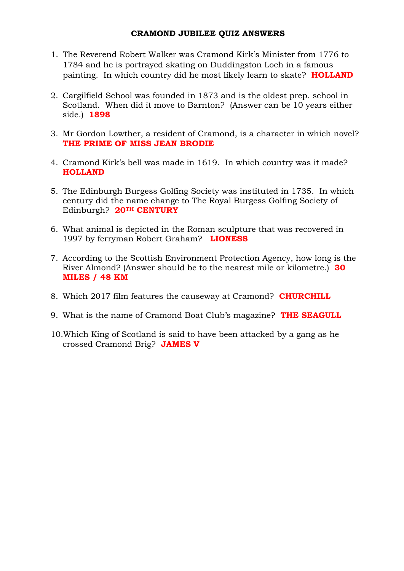- 1. The Reverend Robert Walker was Cramond Kirk's Minister from 1776 to 1784 and he is portrayed skating on Duddingston Loch in a famous painting. In which country did he most likely learn to skate? **HOLLAND**
- 2. Cargilfield School was founded in 1873 and is the oldest prep. school in Scotland. When did it move to Barnton? (Answer can be 10 years either side.) **1898**
- 3. Mr Gordon Lowther, a resident of Cramond, is a character in which novel? **THE PRIME OF MISS JEAN BRODIE**
- 4. Cramond Kirk's bell was made in 1619. In which country was it made? **HOLLAND**
- 5. The Edinburgh Burgess Golfing Society was instituted in 1735. In which century did the name change to The Royal Burgess Golfing Society of Edinburgh? **20TH CENTURY**
- 6. What animal is depicted in the Roman sculpture that was recovered in 1997 by ferryman Robert Graham? **LIONESS**
- 7. According to the Scottish Environment Protection Agency, how long is the River Almond? (Answer should be to the nearest mile or kilometre.) **30 MILES / 48 KM**
- 8. Which 2017 film features the causeway at Cramond? **CHURCHILL**
- 9. What is the name of Cramond Boat Club's magazine? **THE SEAGULL**
- 10.Which King of Scotland is said to have been attacked by a gang as he crossed Cramond Brig? **JAMES V**